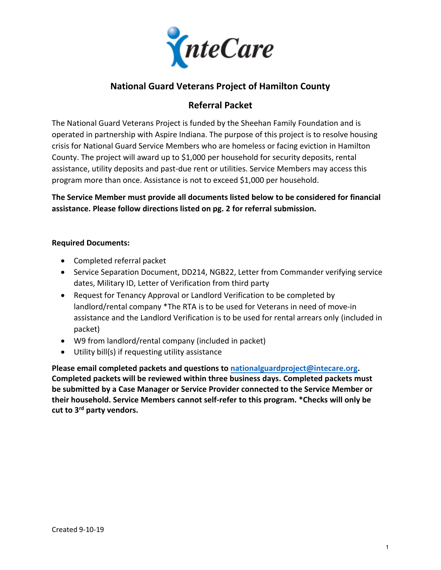

## **National Guard Veterans Project of Hamilton County**

## **Referral Packet**

The National Guard Veterans Project is funded by the Sheehan Family Foundation and is operated in partnership with Aspire Indiana. The purpose of this project is to resolve housing crisis for National Guard Service Members who are homeless or facing eviction in Hamilton County. The project will award up to \$1,000 per household for security deposits, rental assistance, utility deposits and past-due rent or utilities. Service Members may access this program more than once. Assistance is not to exceed \$1,000 per household.

**The Service Member must provide all documents listed below to be considered for financial assistance. Please follow directions listed on pg. 2 for referral submission.**

#### **Required Documents:**

- Completed referral packet
- Service Separation Document, DD214, NGB22, Letter from Commander verifying service dates, Military ID, Letter of Verification from third party
- Request for Tenancy Approval or Landlord Verification to be completed by landlord/rental company \*The RTA is to be used for Veterans in need of move-in assistance and the Landlord Verification is to be used for rental arrears only (included in packet)
- W9 from landlord/rental company (included in packet)
- Utility bill(s) if requesting utility assistance

**Please email completed packets and questions to [nationalguardproject@intecare.org.](mailto:nationalguardproject@intecare.org) Completed packets will be reviewed within three business days. Completed packets must be submitted by a Case Manager or Service Provider connected to the Service Member or their household. Service Members cannot self-refer to this program. \*Checks will only be cut to 3 rd party vendors.**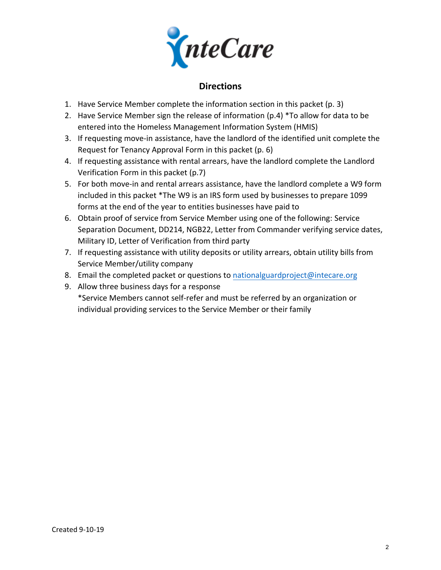

### **Directions**

- 1. Have Service Member complete the information section in this packet (p. 3)
- 2. Have Service Member sign the release of information ( $p.4$ ) \*To allow for data to be entered into the Homeless Management Information System (HMIS)
- 3. If requesting move-in assistance, have the landlord of the identified unit complete the Request for Tenancy Approval Form in this packet (p. 6)
- 4. If requesting assistance with rental arrears, have the landlord complete the Landlord Verification Form in this packet (p.7)
- 5. For both move-in and rental arrears assistance, have the landlord complete a W9 form included in this packet \*The W9 is an IRS form used by businesses to prepare 1099 forms at the end of the year to entities businesses have paid to
- 6. Obtain proof of service from Service Member using one of the following: Service Separation Document, DD214, NGB22, Letter from Commander verifying service dates, Military ID, Letter of Verification from third party
- 7. If requesting assistance with utility deposits or utility arrears, obtain utility bills from Service Member/utility company
- 8. Email the completed packet or questions to [nationalguardproject@intecare.org](mailto:nationalguardproject@intecare.org)
- 9. Allow three business days for a response \*Service Members cannot self-refer and must be referred by an organization or individual providing services to the Service Member or their family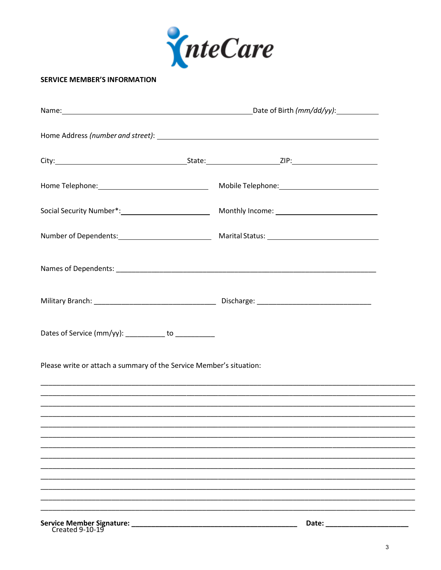

#### **SERVICE MEMBER'S INFORMATION**

| Dates of Service (mm/yy): ___________ to ____________               |                                                                                                                                                                       |
|---------------------------------------------------------------------|-----------------------------------------------------------------------------------------------------------------------------------------------------------------------|
| Please write or attach a summary of the Service Member's situation: |                                                                                                                                                                       |
|                                                                     | ,我们也不能会有什么。""我们的人,我们也不能会有什么?""我们的人,我们也不能会有什么?""我们的人,我们也不能会有什么?""我们的人,我们也不能会有什么?""<br>,我们也不能在这里,我们也不能在这里的时候,我们也不能在这里,我们也不能不能在这里,我们也不能不能不能不能不能。""我们,我们也不能不能不能不能不能不能不能不能 |
|                                                                     |                                                                                                                                                                       |
|                                                                     |                                                                                                                                                                       |
|                                                                     |                                                                                                                                                                       |
|                                                                     |                                                                                                                                                                       |
|                                                                     |                                                                                                                                                                       |
| Service Member Signature: _<br>Created 9-10-19                      | Date:                                                                                                                                                                 |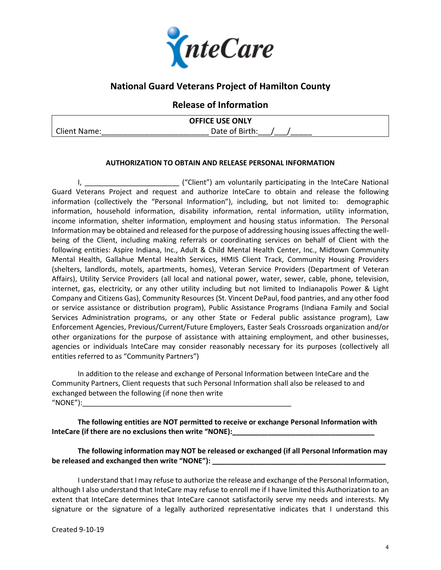

## **National Guard Veterans Project of Hamilton County**

#### **Release of Information**

| <b>OFFICE USE ONLY</b> |                |  |
|------------------------|----------------|--|
| <b>Client Name:</b>    | Date of Birth: |  |

#### **AUTHORIZATION TO OBTAIN AND RELEASE PERSONAL INFORMATION**

I, The same of the Carel ("Client") am voluntarily participating in the InteCare National Guard Veterans Project and request and authorize InteCare to obtain and release the following information (collectively the "Personal Information"), including, but not limited to: demographic information, household information, disability information, rental information, utility information, income information, shelter information, employment and housing status information. The Personal Information may be obtained and released for the purpose of addressing housing issues affecting the wellbeing of the Client, including making referrals or coordinating services on behalf of Client with the following entities: Aspire Indiana, Inc., Adult & Child Mental Health Center, Inc., Midtown Community Mental Health, Gallahue Mental Health Services, HMIS Client Track, Community Housing Providers (shelters, landlords, motels, apartments, homes), Veteran Service Providers (Department of Veteran Affairs), Utility Service Providers (all local and national power, water, sewer, cable, phone, television, internet, gas, electricity, or any other utility including but not limited to Indianapolis Power & Light Company and Citizens Gas), Community Resources (St. Vincent DePaul, food pantries, and any other food or service assistance or distribution program), Public Assistance Programs (Indiana Family and Social Services Administration programs, or any other State or Federal public assistance program), Law Enforcement Agencies, Previous/Current/Future Employers, Easter Seals Crossroads organization and/or other organizations for the purpose of assistance with attaining employment, and other businesses, agencies or individuals InteCare may consider reasonably necessary for its purposes (collectively all entities referred to as "Community Partners")

In addition to the release and exchange of Personal Information between InteCare and the Community Partners, Client requests that such Personal Information shall also be released to and exchanged between the following (if none then write " $NONE"$ ):

**The following entities are NOT permitted to receive or exchange Personal Information with**  InteCare (if there are no exclusions then write "NONE):

**The following information may NOT be released or exchanged (if all Personal Information may**  be released and exchanged then write "NONE"):

I understand that I may refuse to authorize the release and exchange of the Personal Information, although I also understand that InteCare may refuse to enroll me if I have limited this Authorization to an extent that InteCare determines that InteCare cannot satisfactorily serve my needs and interests. My signature or the signature of a legally authorized representative indicates that I understand this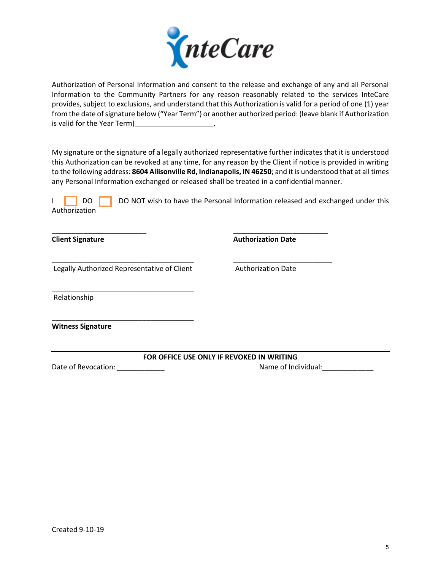

Authorization of Personal Information and consent to the release and exchange of any and all Personal Information to the Community Partners for any reason reasonably related to the services InteCare provides, subject to exclusions, and understand that this Authorization is valid for a period of one (1) year from the date of signature below ("Year Term") or another authorized period: (leave blank if Authorization is valid for the Year Term) is valid for the Year Term

My signature or the signature of a legally authorized representative further indicates that it is understood this Authorization can be revoked at any time, for any reason by the Client if notice is provided in writing to the following address: **8604 Allisonville Rd, Indianapolis, IN 46250**; and it is understood that at all times any Personal Information exchanged or released shall be treated in a confidential manner.

|               | <b>DO</b> DO NOT wish to have the Personal Information released and exchanged under this |
|---------------|------------------------------------------------------------------------------------------|
| Authorization |                                                                                          |

\_\_\_\_\_\_\_\_\_\_\_\_\_\_\_\_\_\_\_\_\_\_\_\_\_\_\_\_\_\_\_\_\_\_\_\_ \_\_\_\_\_\_\_\_\_\_\_\_\_\_\_\_\_\_\_\_\_\_\_\_\_

\_\_\_\_\_\_\_\_\_\_\_\_\_\_\_\_\_\_\_\_\_\_\_\_ \_\_\_\_\_\_\_\_\_\_\_\_\_\_\_\_\_\_\_\_\_\_\_\_

**Client Signature Authorization Date** 

Legally Authorized Representative of Client **Authorization Date** 

\_\_\_\_\_\_\_\_\_\_\_\_\_\_\_\_\_\_\_\_\_\_\_\_\_\_\_\_\_\_\_\_\_\_\_\_

\_\_\_\_\_\_\_\_\_\_\_\_\_\_\_\_\_\_\_\_\_\_\_\_\_\_\_\_\_\_\_\_\_\_\_\_

Relationship

**Witness Signature**

**FOR OFFICE USE ONLY IF REVOKED IN WRITING**

Date of Revocation: \_\_\_\_\_\_\_\_\_\_\_\_ Name of Individual:\_\_\_\_\_\_\_\_\_\_\_\_\_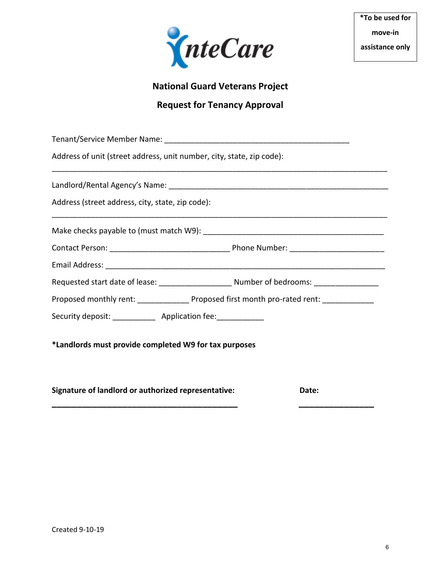

# **National Guard Veterans Project**

# **Request for Tenancy Approval**

| Address of unit (street address, unit number, city, state, zip code):                       |       |  |  |  |
|---------------------------------------------------------------------------------------------|-------|--|--|--|
|                                                                                             |       |  |  |  |
| Address (street address, city, state, zip code):                                            |       |  |  |  |
|                                                                                             |       |  |  |  |
|                                                                                             |       |  |  |  |
|                                                                                             |       |  |  |  |
|                                                                                             |       |  |  |  |
| Proposed monthly rent: ________________ Proposed first month pro-rated rent: ______________ |       |  |  |  |
| Security deposit: _____________ Application fee: ____________                               |       |  |  |  |
| *Landlords must provide completed W9 for tax purposes                                       |       |  |  |  |
| Signature of landlord or authorized representative:                                         | Date: |  |  |  |